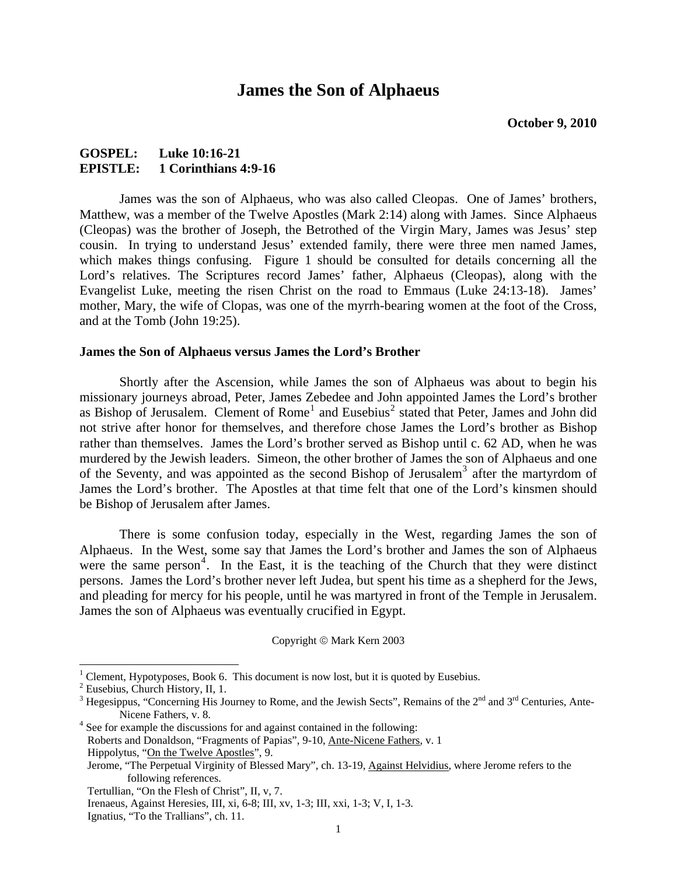### **James the Son of Alphaeus**

### **GOSPEL: Luke 10:16-21 EPISTLE: 1 Corinthians 4:9-16**

James was the son of Alphaeus, who was also called Cleopas. One of James' brothers, Matthew, was a member of the Twelve Apostles (Mark 2:14) along with James. Since Alphaeus (Cleopas) was the brother of Joseph, the Betrothed of the Virgin Mary, James was Jesus' step cousin. In trying to understand Jesus' extended family, there were three men named James, which makes things confusing. Figure 1 should be consulted for details concerning all the Lord's relatives. The Scriptures record James' father, Alphaeus (Cleopas), along with the Evangelist Luke, meeting the risen Christ on the road to Emmaus (Luke 24:13-18). James' mother, Mary, the wife of Clopas, was one of the myrrh-bearing women at the foot of the Cross, and at the Tomb (John 19:25).

#### **James the Son of Alphaeus versus James the Lord's Brother**

Shortly after the Ascension, while James the son of Alphaeus was about to begin his missionary journeys abroad, Peter, James Zebedee and John appointed James the Lord's brother as Bishop of Jerusalem. Clement of Rome<sup>[1](#page-0-0)</sup> and Eusebius<sup>[2](#page-0-1)</sup> stated that Peter, James and John did not strive after honor for themselves, and therefore chose James the Lord's brother as Bishop rather than themselves. James the Lord's brother served as Bishop until c. 62 AD, when he was murdered by the Jewish leaders. Simeon, the other brother of James the son of Alphaeus and one of the Seventy, and was appointed as the second Bishop of Jerusalem<sup>[3](#page-0-2)</sup> after the martyrdom of James the Lord's brother. The Apostles at that time felt that one of the Lord's kinsmen should be Bishop of Jerusalem after James.

There is some confusion today, especially in the West, regarding James the son of Alphaeus. In the West, some say that James the Lord's brother and James the son of Alphaeus were the same person<sup>[4](#page-0-3)</sup>. In the East, it is the teaching of the Church that they were distinct persons. James the Lord's brother never left Judea, but spent his time as a shepherd for the Jews, and pleading for mercy for his people, until he was martyred in front of the Temple in Jerusalem. James the son of Alphaeus was eventually crucified in Egypt.

Copyright © Mark Kern 2003

<sup>&</sup>lt;sup>1</sup> Clement, Hypotyposes, Book 6. This document is now lost, but it is quoted by Eusebius.

<span id="page-0-1"></span><span id="page-0-0"></span><sup>2</sup> Eusebius, Church History, II, 1.

<span id="page-0-2"></span><sup>&</sup>lt;sup>3</sup> Hegesippus, "Concerning His Journey to Rome, and the Jewish Sects", Remains of the  $2^{nd}$  and  $3^{rd}$  Centuries, Ante-Nicene Fathers, v. 8.<br><sup>4</sup> See for example the discussions for and against contained in the following:

<span id="page-0-3"></span>

Roberts and Donaldson, "Fragments of Papias", 9-10, Ante-Nicene Fathers, v. 1 Hippolytus, "On the Twelve Apostles", 9.

Jerome, "The Perpetual Virginity of Blessed Mary", ch. 13-19, Against Helvidius, where Jerome refers to the following references.

Tertullian, "On the Flesh of Christ", II, v, 7.

Irenaeus, Against Heresies, III, xi, 6-8; III, xv, 1-3; III, xxi, 1-3; V, I, 1-3.

Ignatius, "To the Trallians", ch. 11.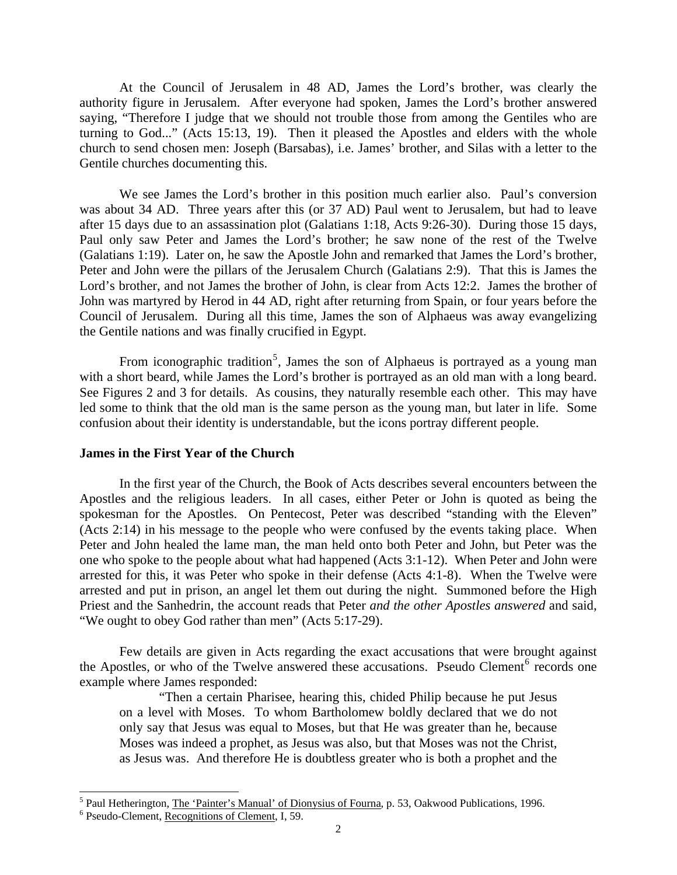At the Council of Jerusalem in 48 AD, James the Lord's brother, was clearly the authority figure in Jerusalem. After everyone had spoken, James the Lord's brother answered saying, "Therefore I judge that we should not trouble those from among the Gentiles who are turning to God..." (Acts 15:13, 19). Then it pleased the Apostles and elders with the whole church to send chosen men: Joseph (Barsabas), i.e. James' brother, and Silas with a letter to the Gentile churches documenting this.

We see James the Lord's brother in this position much earlier also. Paul's conversion was about 34 AD. Three years after this (or 37 AD) Paul went to Jerusalem, but had to leave after 15 days due to an assassination plot (Galatians 1:18, Acts 9:26-30). During those 15 days, Paul only saw Peter and James the Lord's brother; he saw none of the rest of the Twelve (Galatians 1:19). Later on, he saw the Apostle John and remarked that James the Lord's brother, Peter and John were the pillars of the Jerusalem Church (Galatians 2:9). That this is James the Lord's brother, and not James the brother of John, is clear from Acts 12:2. James the brother of John was martyred by Herod in 44 AD, right after returning from Spain, or four years before the Council of Jerusalem. During all this time, James the son of Alphaeus was away evangelizing the Gentile nations and was finally crucified in Egypt.

From iconographic tradition<sup>[5](#page-1-0)</sup>, James the son of Alphaeus is portrayed as a young man with a short beard, while James the Lord's brother is portrayed as an old man with a long beard. See Figures 2 and 3 for details. As cousins, they naturally resemble each other. This may have led some to think that the old man is the same person as the young man, but later in life. Some confusion about their identity is understandable, but the icons portray different people.

#### **James in the First Year of the Church**

In the first year of the Church, the Book of Acts describes several encounters between the Apostles and the religious leaders. In all cases, either Peter or John is quoted as being the spokesman for the Apostles. On Pentecost, Peter was described "standing with the Eleven" (Acts 2:14) in his message to the people who were confused by the events taking place. When Peter and John healed the lame man, the man held onto both Peter and John, but Peter was the one who spoke to the people about what had happened (Acts 3:1-12). When Peter and John were arrested for this, it was Peter who spoke in their defense (Acts 4:1-8). When the Twelve were arrested and put in prison, an angel let them out during the night. Summoned before the High Priest and the Sanhedrin, the account reads that Peter *and the other Apostles answered* and said, "We ought to obey God rather than men" (Acts 5:17-29).

Few details are given in Acts regarding the exact accusations that were brought against the Apostles, or who of the Twelve answered these accusations. Pseudo Clement<sup>[6](#page-1-1)</sup> records one example where James responded:

"Then a certain Pharisee, hearing this, chided Philip because he put Jesus on a level with Moses. To whom Bartholomew boldly declared that we do not only say that Jesus was equal to Moses, but that He was greater than he, because Moses was indeed a prophet, as Jesus was also, but that Moses was not the Christ, as Jesus was. And therefore He is doubtless greater who is both a prophet and the

l

<span id="page-1-0"></span><sup>&</sup>lt;sup>5</sup> Paul Hetherington, <u>The 'Painter's Manual' of Dionysius of Fourna</u>, p. 53, Oakwood Publications, 1996.

<span id="page-1-1"></span><sup>&</sup>lt;sup>6</sup> Pseudo-Clement, Recognitions of Clement, I, 59.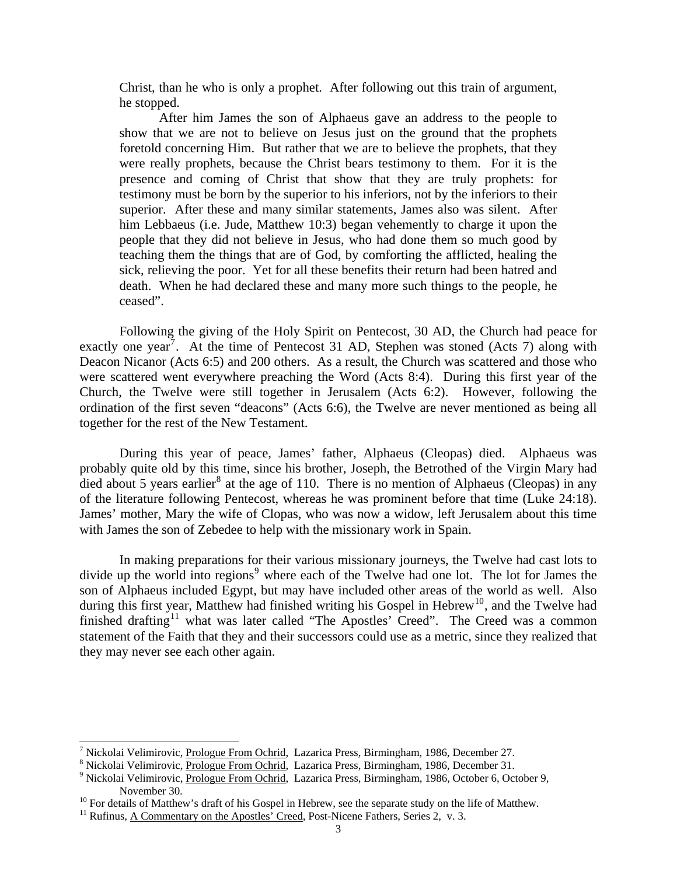Christ, than he who is only a prophet. After following out this train of argument, he stopped.

After him James the son of Alphaeus gave an address to the people to show that we are not to believe on Jesus just on the ground that the prophets foretold concerning Him. But rather that we are to believe the prophets, that they were really prophets, because the Christ bears testimony to them. For it is the presence and coming of Christ that show that they are truly prophets: for testimony must be born by the superior to his inferiors, not by the inferiors to their superior. After these and many similar statements, James also was silent. After him Lebbaeus (i.e. Jude, Matthew 10:3) began vehemently to charge it upon the people that they did not believe in Jesus, who had done them so much good by teaching them the things that are of God, by comforting the afflicted, healing the sick, relieving the poor. Yet for all these benefits their return had been hatred and death. When he had declared these and many more such things to the people, he ceased".

Following the giving of the Holy Spirit on Pentecost, 30 AD, the Church had peace for exactly one year<sup>[7](#page-2-0)</sup>. At the time of Pentecost 31 AD, Stephen was stoned (Acts 7) along with Deacon Nicanor (Acts 6:5) and 200 others. As a result, the Church was scattered and those who were scattered went everywhere preaching the Word (Acts 8:4). During this first year of the Church, the Twelve were still together in Jerusalem (Acts 6:2). However, following the ordination of the first seven "deacons" (Acts 6:6), the Twelve are never mentioned as being all together for the rest of the New Testament.

During this year of peace, James' father, Alphaeus (Cleopas) died. Alphaeus was probably quite old by this time, since his brother, Joseph, the Betrothed of the Virgin Mary had died about 5 years earlier<sup>[8](#page-2-1)</sup> at the age of 110. There is no mention of Alphaeus (Cleopas) in any of the literature following Pentecost, whereas he was prominent before that time (Luke 24:18). James' mother, Mary the wife of Clopas, who was now a widow, left Jerusalem about this time with James the son of Zebedee to help with the missionary work in Spain.

In making preparations for their various missionary journeys, the Twelve had cast lots to divide up the world into regions<sup>[9](#page-2-2)</sup> where each of the Twelve had one lot. The lot for James the son of Alphaeus included Egypt, but may have included other areas of the world as well. Also during this first year, Matthew had finished writing his Gospel in Hebrew<sup>[10](#page-2-3)</sup>, and the Twelve had finished drafting<sup>[11](#page-2-4)</sup> what was later called "The Apostles' Creed". The Creed was a common statement of the Faith that they and their successors could use as a metric, since they realized that they may never see each other again.

<span id="page-2-0"></span><sup>&</sup>lt;sup>7</sup> Nickolai Velimirovic, <u>Prologue From Ochrid</u>, Lazarica Press, Birmingham, 1986, December 27.<br><sup>8</sup> Nickolai Velimirovia, Prologue From Ochrid, Lazarica Press, Birmingham, 1986, December 21.

<span id="page-2-1"></span><sup>&</sup>lt;sup>8</sup> Nickolai Velimirovic, Prologue From Ochrid, Lazarica Press, Birmingham, 1986, December 31.

<span id="page-2-2"></span>Nickolai Velimirovic, Prologue From Ochrid, Lazarica Press, Birmingham, 1986, October 6, October 9, November 30.<br><sup>10</sup> For details of Matthew's draft of his Gospel in Hebrew, see the separate study on the life of Matthew.<br><sup>11</sup> Rufinus, A Commentary on the Apostles' Creed, Post-Nicene Fathers, Series 2, v. 3.

<span id="page-2-4"></span><span id="page-2-3"></span>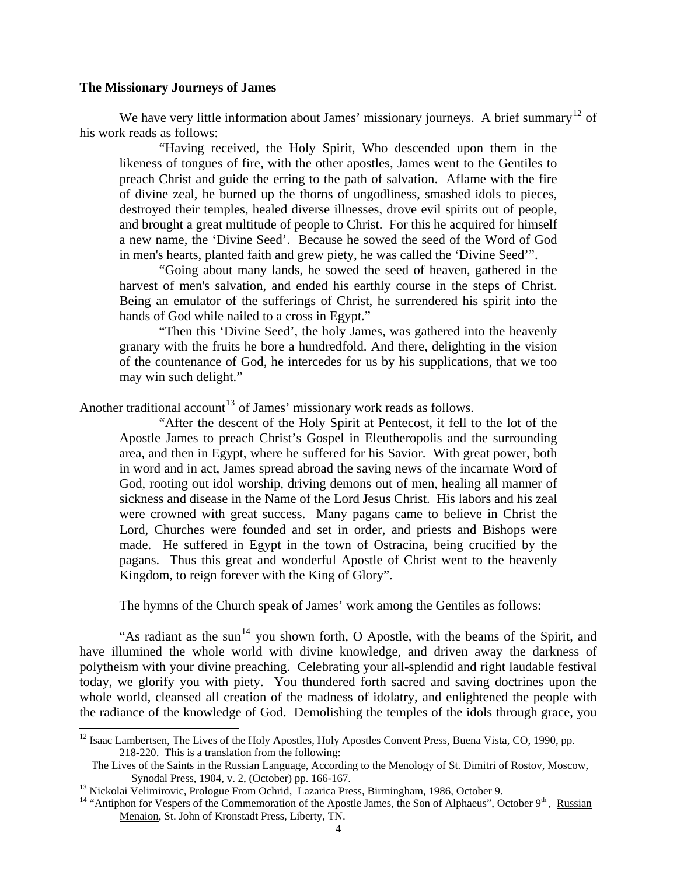#### **The Missionary Journeys of James**

We have very little information about James' missionary journeys. A brief summary<sup>[12](#page-3-0)</sup> of his work reads as follows:

"Having received, the Holy Spirit, Who descended upon them in the likeness of tongues of fire, with the other apostles, James went to the Gentiles to preach Christ and guide the erring to the path of salvation. Aflame with the fire of divine zeal, he burned up the thorns of ungodliness, smashed idols to pieces, destroyed their temples, healed diverse illnesses, drove evil spirits out of people, and brought a great multitude of people to Christ. For this he acquired for himself a new name, the 'Divine Seed'. Because he sowed the seed of the Word of God in men's hearts, planted faith and grew piety, he was called the 'Divine Seed'".

"Going about many lands, he sowed the seed of heaven, gathered in the harvest of men's salvation, and ended his earthly course in the steps of Christ. Being an emulator of the sufferings of Christ, he surrendered his spirit into the hands of God while nailed to a cross in Egypt."

"Then this 'Divine Seed', the holy James, was gathered into the heavenly granary with the fruits he bore a hundredfold. And there, delighting in the vision of the countenance of God, he intercedes for us by his supplications, that we too may win such delight."

Another traditional account<sup>[13](#page-3-1)</sup> of James' missionary work reads as follows.

"After the descent of the Holy Spirit at Pentecost, it fell to the lot of the Apostle James to preach Christ's Gospel in Eleutheropolis and the surrounding area, and then in Egypt, where he suffered for his Savior. With great power, both in word and in act, James spread abroad the saving news of the incarnate Word of God, rooting out idol worship, driving demons out of men, healing all manner of sickness and disease in the Name of the Lord Jesus Christ. His labors and his zeal were crowned with great success. Many pagans came to believe in Christ the Lord, Churches were founded and set in order, and priests and Bishops were made. He suffered in Egypt in the town of Ostracina, being crucified by the pagans. Thus this great and wonderful Apostle of Christ went to the heavenly Kingdom, to reign forever with the King of Glory".

The hymns of the Church speak of James' work among the Gentiles as follows:

"As radiant as the sun<sup>[14](#page-3-2)</sup> you shown forth, O Apostle, with the beams of the Spirit, and have illumined the whole world with divine knowledge, and driven away the darkness of polytheism with your divine preaching. Celebrating your all-splendid and right laudable festival today, we glorify you with piety. You thundered forth sacred and saving doctrines upon the whole world, cleansed all creation of the madness of idolatry, and enlightened the people with the radiance of the knowledge of God. Demolishing the temples of the idols through grace, you

<span id="page-3-0"></span><sup>&</sup>lt;sup>12</sup> Isaac Lambertsen, The Lives of the Holy Apostles, Holy Apostles Convent Press, Buena Vista, CO, 1990, pp. 218-220. This is a translation from the following:

The Lives of the Saints in the Russian Language, According to the Menology of St. Dimitri of Rostov, Moscow, Synodal Press, 1904, v. 2, (October) pp. 166-167.<br><sup>13</sup> Nickolai Velimirovic, <u>Prologue From Ochrid</u>, Lazarica Press, Birmingham, 1986, October 9.<br><sup>14</sup> "Antiphon for Vespers of the Commemoration of the Apostle James, the S

<span id="page-3-2"></span><span id="page-3-1"></span>

Menaion, St. John of Kronstadt Press, Liberty, TN.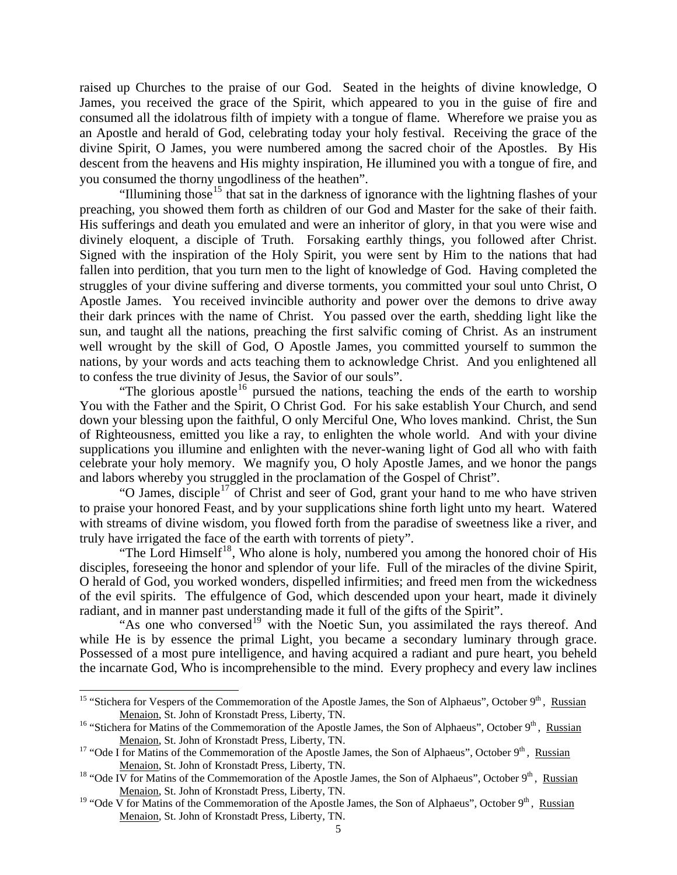raised up Churches to the praise of our God. Seated in the heights of divine knowledge, O James, you received the grace of the Spirit, which appeared to you in the guise of fire and consumed all the idolatrous filth of impiety with a tongue of flame. Wherefore we praise you as an Apostle and herald of God, celebrating today your holy festival. Receiving the grace of the divine Spirit, O James, you were numbered among the sacred choir of the Apostles. By His descent from the heavens and His mighty inspiration, He illumined you with a tongue of fire, and you consumed the thorny ungodliness of the heathen".

"Illumining those<sup>[15](#page-4-0)</sup> that sat in the darkness of ignorance with the lightning flashes of your preaching, you showed them forth as children of our God and Master for the sake of their faith. His sufferings and death you emulated and were an inheritor of glory, in that you were wise and divinely eloquent, a disciple of Truth. Forsaking earthly things, you followed after Christ. Signed with the inspiration of the Holy Spirit, you were sent by Him to the nations that had fallen into perdition, that you turn men to the light of knowledge of God. Having completed the struggles of your divine suffering and diverse torments, you committed your soul unto Christ, O Apostle James. You received invincible authority and power over the demons to drive away their dark princes with the name of Christ. You passed over the earth, shedding light like the sun, and taught all the nations, preaching the first salvific coming of Christ. As an instrument well wrought by the skill of God, O Apostle James, you committed yourself to summon the nations, by your words and acts teaching them to acknowledge Christ. And you enlightened all to confess the true divinity of Jesus, the Savior of our souls".

"The glorious apostle<sup>[16](#page-4-1)</sup> pursued the nations, teaching the ends of the earth to worship You with the Father and the Spirit, O Christ God. For his sake establish Your Church, and send down your blessing upon the faithful, O only Merciful One, Who loves mankind. Christ, the Sun of Righteousness, emitted you like a ray, to enlighten the whole world. And with your divine supplications you illumine and enlighten with the never-waning light of God all who with faith celebrate your holy memory. We magnify you, O holy Apostle James, and we honor the pangs and labors whereby you struggled in the proclamation of the Gospel of Christ".

"O James, disciple<sup>[17](#page-4-2)</sup> of Christ and seer of God, grant your hand to me who have striven to praise your honored Feast, and by your supplications shine forth light unto my heart. Watered with streams of divine wisdom, you flowed forth from the paradise of sweetness like a river, and truly have irrigated the face of the earth with torrents of piety".

"The Lord Himself<sup>[18](#page-4-3)</sup>, Who alone is holy, numbered you among the honored choir of His disciples, foreseeing the honor and splendor of your life. Full of the miracles of the divine Spirit, O herald of God, you worked wonders, dispelled infirmities; and freed men from the wickedness of the evil spirits. The effulgence of God, which descended upon your heart, made it divinely radiant, and in manner past understanding made it full of the gifts of the Spirit".

"As one who conversed<sup>[19](#page-4-4)</sup> with the Noetic Sun, you assimilated the rays thereof. And while He is by essence the primal Light, you became a secondary luminary through grace. Possessed of a most pure intelligence, and having acquired a radiant and pure heart, you beheld the incarnate God, Who is incomprehensible to the mind. Every prophecy and every law inclines

<span id="page-4-0"></span><sup>&</sup>lt;sup>15</sup> "Stichera for Vespers of the Commemoration of the Apostle James, the Son of Alphaeus", October 9<sup>th</sup>, Russian Menaion, St. John of Kronstadt Press, Liberty, TN.<br><sup>16</sup> "Stichera for Matins of the Commemoration of the Apostle James, the Son of Alphaeus", October 9<sup>th</sup>, Russian

<span id="page-4-1"></span>Menaion, St. John of Kronstadt Press, Liberty, TN.<br><sup>17</sup> "Ode I for Matins of the Commemoration of the Apostle James, the Son of Alphaeus", October 9<sup>th</sup>, Russian

<span id="page-4-2"></span>Menaion, St. John of Kronstadt Press, Liberty, TN.<br><sup>18</sup> "Ode IV for Matins of the Commemoration of the Apostle James, the Son of Alphaeus", October 9<sup>th</sup>, Russian

<span id="page-4-3"></span>Menaion, St. John of Kronstadt Press, Liberty, TN.

<span id="page-4-4"></span><sup>&</sup>lt;sup>19</sup> "Ode  $\overline{V}$  for Matins of the Commemoration of the Apostle James, the Son of Alphaeus", October 9<sup>th</sup>, Russian Menaion, St. John of Kronstadt Press, Liberty, TN.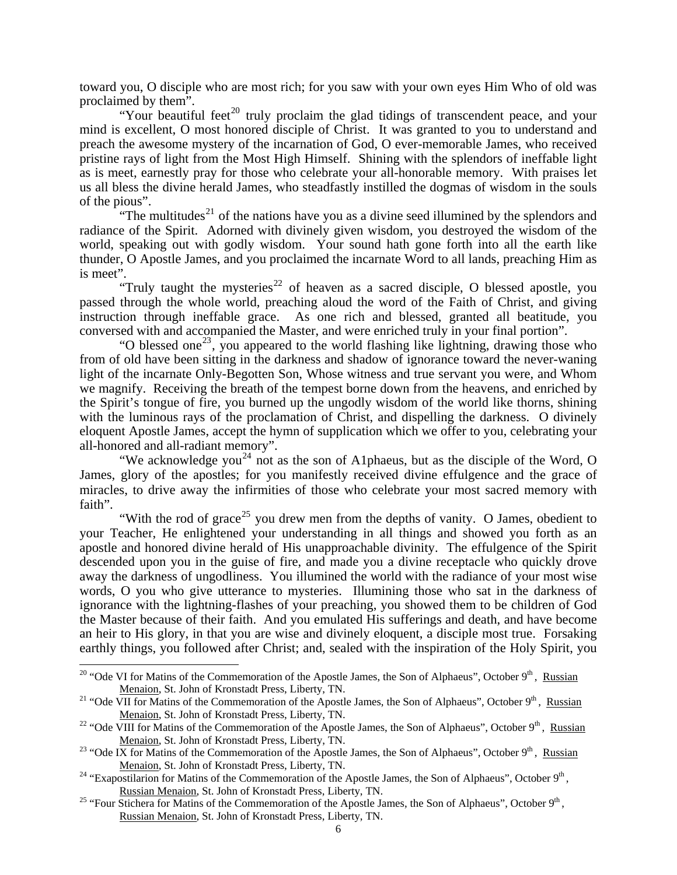toward you, O disciple who are most rich; for you saw with your own eyes Him Who of old was proclaimed by them".

"Your beautiful feet<sup>[20](#page-5-0)</sup> truly proclaim the glad tidings of transcendent peace, and your mind is excellent, O most honored disciple of Christ. It was granted to you to understand and preach the awesome mystery of the incarnation of God, O ever-memorable James, who received pristine rays of light from the Most High Himself. Shining with the splendors of ineffable light as is meet, earnestly pray for those who celebrate your all-honorable memory. With praises let us all bless the divine herald James, who steadfastly instilled the dogmas of wisdom in the souls of the pious".

"The multitudes<sup>[21](#page-5-1)</sup> of the nations have you as a divine seed illumined by the splendors and radiance of the Spirit. Adorned with divinely given wisdom, you destroyed the wisdom of the world, speaking out with godly wisdom. Your sound hath gone forth into all the earth like thunder, O Apostle James, and you proclaimed the incarnate Word to all lands, preaching Him as is meet".

"Truly taught the mysteries<sup>[22](#page-5-2)</sup> of heaven as a sacred disciple, O blessed apostle, you passed through the whole world, preaching aloud the word of the Faith of Christ, and giving instruction through ineffable grace. As one rich and blessed, granted all beatitude, you conversed with and accompanied the Master, and were enriched truly in your final portion".

"O blessed one<sup>[23](#page-5-3)</sup>, you appeared to the world flashing like lightning, drawing those who from of old have been sitting in the darkness and shadow of ignorance toward the never-waning light of the incarnate Only-Begotten Son, Whose witness and true servant you were, and Whom we magnify. Receiving the breath of the tempest borne down from the heavens, and enriched by the Spirit's tongue of fire, you burned up the ungodly wisdom of the world like thorns, shining with the luminous rays of the proclamation of Christ, and dispelling the darkness. O divinely eloquent Apostle James, accept the hymn of supplication which we offer to you, celebrating your all-honored and all-radiant memory".

"We acknowledge you<sup>[24](#page-5-4)</sup> not as the son of A1phaeus, but as the disciple of the Word, O James, glory of the apostles; for you manifestly received divine effulgence and the grace of miracles, to drive away the infirmities of those who celebrate your most sacred memory with faith".

"With the rod of grace<sup>[25](#page-5-5)</sup> you drew men from the depths of vanity. O James, obedient to your Teacher, He enlightened your understanding in all things and showed you forth as an apostle and honored divine herald of His unapproachable divinity. The effulgence of the Spirit descended upon you in the guise of fire, and made you a divine receptacle who quickly drove away the darkness of ungodliness. You illumined the world with the radiance of your most wise words, O you who give utterance to mysteries. Illumining those who sat in the darkness of ignorance with the lightning-flashes of your preaching, you showed them to be children of God the Master because of their faith. And you emulated His sufferings and death, and have become an heir to His glory, in that you are wise and divinely eloquent, a disciple most true. Forsaking earthly things, you followed after Christ; and, sealed with the inspiration of the Holy Spirit, you

<span id="page-5-0"></span><sup>&</sup>lt;sup>20</sup> "Ode VI for Matins of the Commemoration of the Apostle James, the Son of Alphaeus", October 9<sup>th</sup>, Russian Menaion, St. John of Kronstadt Press, Liberty, TN.<br><sup>21</sup> "Ode VII for Matins of the Commemoration of the Apostle James, the Son of Alphaeus", October 9<sup>th</sup>, Russian

<span id="page-5-1"></span>Menaion, St. John of Kronstadt Press, Liberty, TN.<br><sup>22</sup> "Ode VIII for Matins of the Commemoration of the Apostle James, the Son of Alphaeus", October 9<sup>th</sup>, Russian

<span id="page-5-3"></span><span id="page-5-2"></span>Menaion, St. John of Kronstadt Press, Liberty, TN.<br><sup>23</sup> "Ode IX for Matins of the Commemoration of the Apostle James, the Son of Alphaeus", October 9<sup>th</sup>, <u>Russian</u><br>Menaion, St. John of Kronstadt Press, Liberty, TN.

<span id="page-5-4"></span><sup>&</sup>lt;sup>24</sup> "Exapostilarion for Matins of the Commemoration of the Apostle James, the Son of Alphaeus", October 9<sup>th</sup>, Russian Menaion, St. John of Kronstadt Press, Liberty, TN. <sup>25</sup> "Four Stichera for Matins of the Commemoration of the Apostle James, the Son of Alphaeus", October 9<sup>th</sup>,

<span id="page-5-5"></span>Russian Menaion, St. John of Kronstadt Press, Liberty, TN.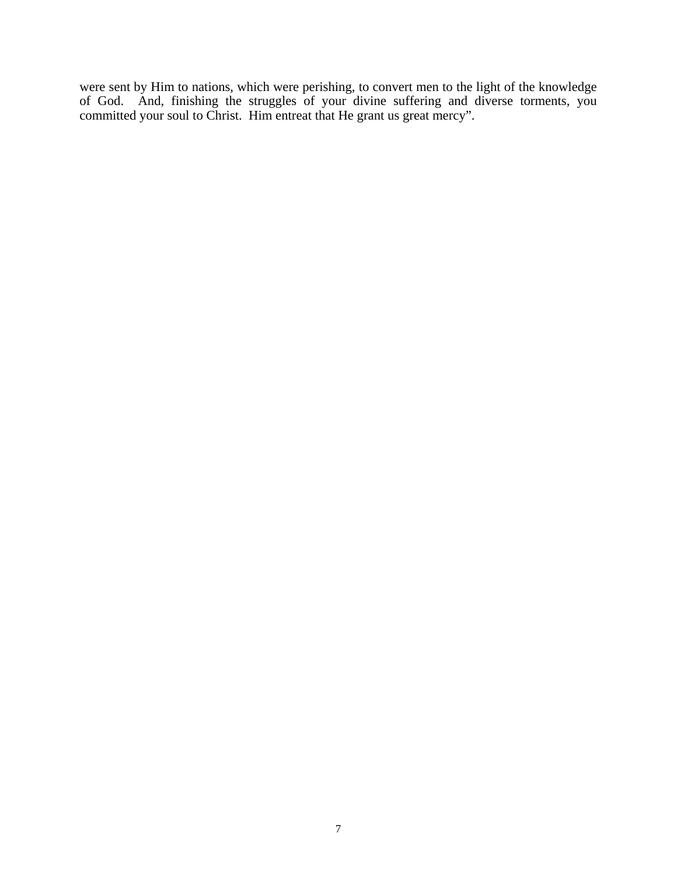were sent by Him to nations, which were perishing, to convert men to the light of the knowledge of God. And, finishing the struggles of your divine suffering and diverse torments, you committed your soul to Christ. Him entreat that He grant us great mercy".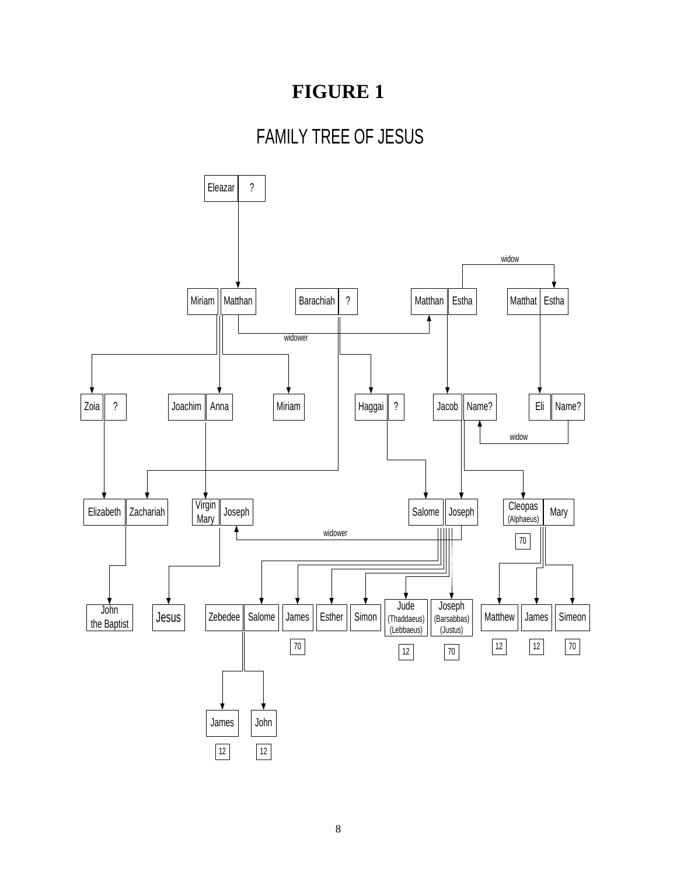## **FIGURE 1**

# FAMILY TREE OF JESUS

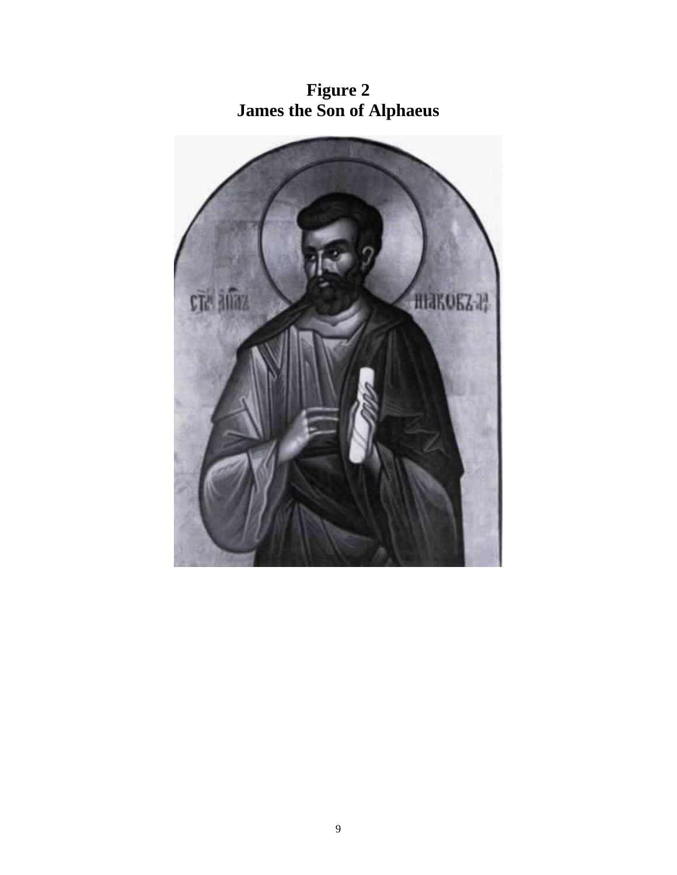

**Figure 2 James the Son of Alphaeus**